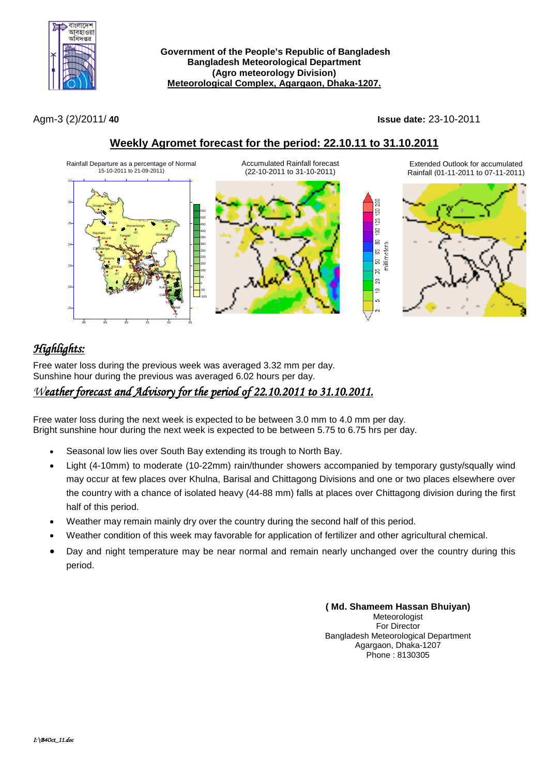

**Government of the People's Republic of Bangladesh Bangladesh Meteorological Department (Agro meteorology Division) Meteorological Complex, Agargaon, Dhaka-1207.**

Agm-3 (2)/2011/ **40 Issue date:** 23-10-2011

## **Weekly Agromet forecast for the period: 22.10.11 to 31.10.2011**



# *Highlights:*

Free water loss during the previous week was averaged 3.32 mm per day. Sunshine hour during the previous was averaged 6.02 hours per day.

## *Weather forecast and Advisory for the period of 22.10.2011 to 31.10.2011.*

Free water loss during the next week is expected to be between 3.0 mm to 4.0 mm per day. Bright sunshine hour during the next week is expected to be between 5.75 to 6.75 hrs per day.

- Seasonal low lies over South Bay extending its trough to North Bay.
- Light (4-10mm) to moderate (10-22mm) rain/thunder showers accompanied by temporary gusty/squally wind may occur at few places over Khulna, Barisal and Chittagong Divisions and one or two places elsewhere over the country with a chance of isolated heavy (44-88 mm) falls at places over Chittagong division during the first half of this period.
- Weather may remain mainly dry over the country during the second half of this period.
- Weather condition of this week may favorable for application of fertilizer and other agricultural chemical.
- Day and night temperature may be near normal and remain nearly unchanged over the country during this period.

**( Md. Shameem Hassan Bhuiyan)** Meteorologist For Director Bangladesh Meteorological Department Agargaon, Dhaka-1207 Phone : 8130305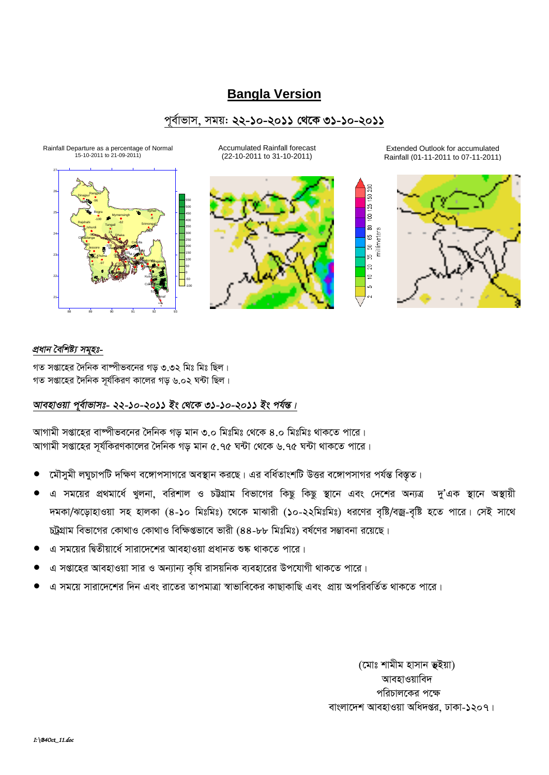## **Bangla Version**

### পূর্বাভাস, সময়: ২২-১০-২০১১ থেকে ৩১-১০-২০১১



**Accumulated Rainfall forecast** (22-10-2011 to 31-10-2011)



Extended Outlook for accumulated Rainfall (01-11-2011 to 07-11-2011)

ន្ត្រ ls E lē  $\Xi$ millimeters ls. la lន lສ ⊴∣



### প্ৰধান বৈশিষ্ট্য সমূহঃ-

গত সপ্তাহের দৈনিক বাষ্পীভবনের গড় ৩.৩২ মিঃ মিঃ ছিল। গত সপ্তাহের দৈনিক সর্যকিরণ কালের গড ৬.০২ ঘন্টা ছিল।

### আবহাওয়া পূর্বাভাসঃ- ২২-১০-২০১১ ইং থেকে ৩১-১০-২০১১ ইং পর্যন্ত।

আগামী সপ্তাহের বাষ্পীভবনের দৈনিক গড মান ৩.০ মিঃমিঃ থেকে ৪.০ মিঃমিঃ থাকতে পারে। আগামী সপ্তাহের সূর্যকিরণকালের দৈনিক গড় মান ৫.৭৫ ঘন্টা থেকে ৬.৭৫ ঘন্টা থাকতে পারে।

- মৌসুমী লঘুচাপটি দক্ষিণ বঙ্গোপসাগরে অবস্থান করছে। এর বর্ধিতাংশটি উত্তর বঙ্গোপসাগর পর্যন্ত বিস্তৃত।
- এ সময়ের প্রথমার্ধে খুলনা, বরিশাল ও চট্টগ্রাম বিভাগের কিছু কিছু স্থানে এবং দেশের অন্যত্র দু'এক স্থানে অস্থায়ী দমকা/ঝড়োহাওয়া সহ হালকা (৪-১০ মিঃমিঃ) থেকে মাঝারী (১০-২২মিঃমিঃ) ধরণের বৃষ্টি/বজ্র-বৃষ্টি হতে পারে। সেই সাথে চট্টগ্রাম বিভাগের কোথাও কোথাও বিক্ষিপ্তভাবে ভারী (৪৪-৮৮ মিঃমিঃ) বর্ষণের সম্ভাবনা রয়েছে।
- এ সময়ের দ্বিতীয়ার্ধে সারাদেশের আবহাওয়া প্রধানত শুষ্ক থাকতে পারে।
- এ সপ্তাহের আবহাওয়া সার ও অন্যান্য কৃষি রাসয়নিক ব্যবহারের উপযোগী থাকতে পারে।
- এ সময়ে সারাদেশের দিন এবং রাতের তাপমাত্রা স্বাভাবিকের কাছাকাছি এবং প্রায় অপরিবর্তিত থাকতে পারে।

(মোঃ শামীম হাসান ভূইয়া) আবহাওয়াবিদ পরিচালকের পক্ষে বাংলাদেশ আবহাওয়া অধিদপ্তর, ঢাকা-১২০৭।